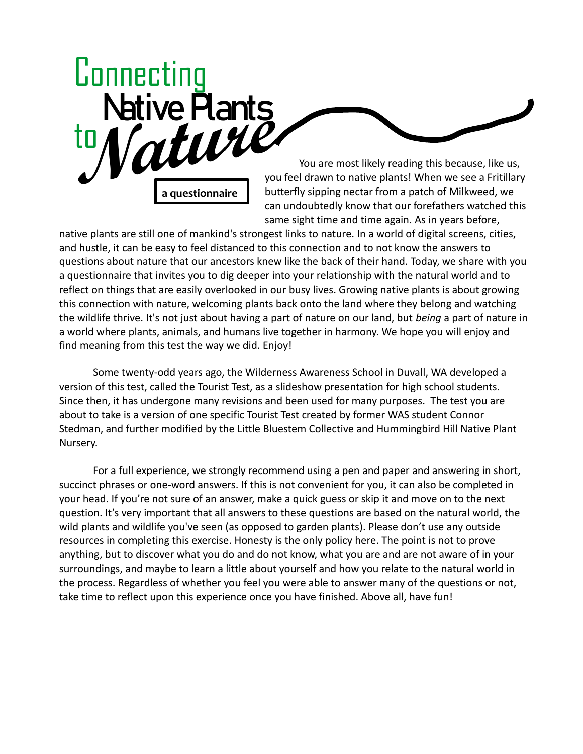

native plants are still one of mankind's strongest links to nature. In a world of digital screens, cities, and hustle, it can be easy to feel distanced to this connection and to not know the answers to questions about nature that our ancestors knew like the back of their hand. Today, we share with you a questionnaire that invites you to dig deeper into your relationship with the natural world and to reflect on things that are easily overlooked in our busy lives. Growing native plants is about growing this connection with nature, welcoming plants back onto the land where they belong and watching the wildlife thrive. It's not just about having a part of nature on our land, but *being* a part of nature in a world where plants, animals, and humans live together in harmony. We hope you will enjoy and find meaning from this test the way we did. Enjoy!

Some twenty-odd years ago, the Wilderness Awareness School in Duvall, WA developed a version of this test, called the Tourist Test, as a slideshow presentation for high school students. Since then, it has undergone many revisions and been used for many purposes. The test you are about to take is a version of one specific Tourist Test created by former WAS student Connor Stedman, and further modified by the Little Bluestem Collective and Hummingbird Hill Native Plant Nursery.

For a full experience, we strongly recommend using a pen and paper and answering in short, succinct phrases or one-word answers. If this is not convenient for you, it can also be completed in your head. If you're not sure of an answer, make a quick guess or skip it and move on to the next question. It's very important that all answers to these questions are based on the natural world, the wild plants and wildlife you've seen (as opposed to garden plants). Please don't use any outside resources in completing this exercise. Honesty is the only policy here. The point is not to prove anything, but to discover what you do and do not know, what you are and are not aware of in your surroundings, and maybe to learn a little about yourself and how you relate to the natural world in the process. Regardless of whether you feel you were able to answer many of the questions or not, take time to reflect upon this experience once you have finished. Above all, have fun!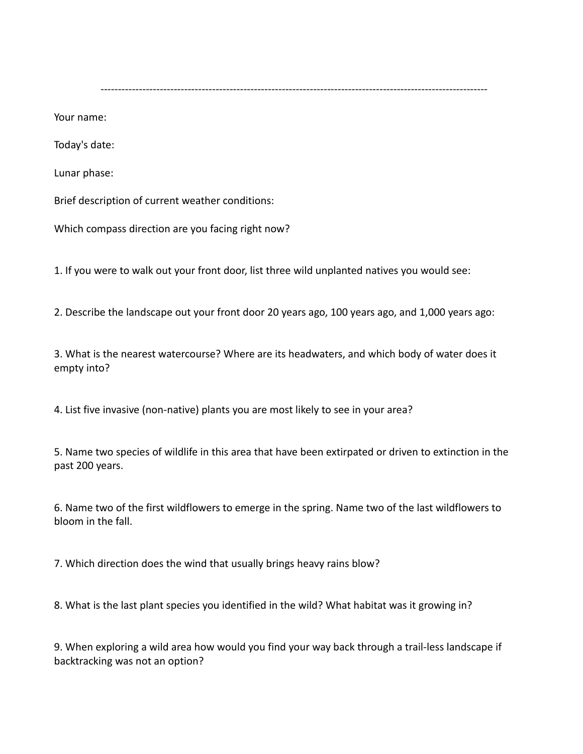---------------------------------------------------------------------------------------------------------------

Your name:

Today's date:

Lunar phase:

Brief description of current weather conditions:

Which compass direction are you facing right now?

1. If you were to walk out your front door, list three wild unplanted natives you would see:

2. Describe the landscape out your front door 20 years ago, 100 years ago, and 1,000 years ago:

3. What is the nearest watercourse? Where are its headwaters, and which body of water does it empty into?

4. List five invasive (non-native) plants you are most likely to see in your area?

5. Name two species of wildlife in this area that have been extirpated or driven to extinction in the past 200 years.

6. Name two of the first wildflowers to emerge in the spring. Name two of the last wildflowers to bloom in the fall.

7. Which direction does the wind that usually brings heavy rains blow?

8. What is the last plant species you identified in the wild? What habitat was it growing in?

9. When exploring a wild area how would you find your way back through a trail-less landscape if backtracking was not an option?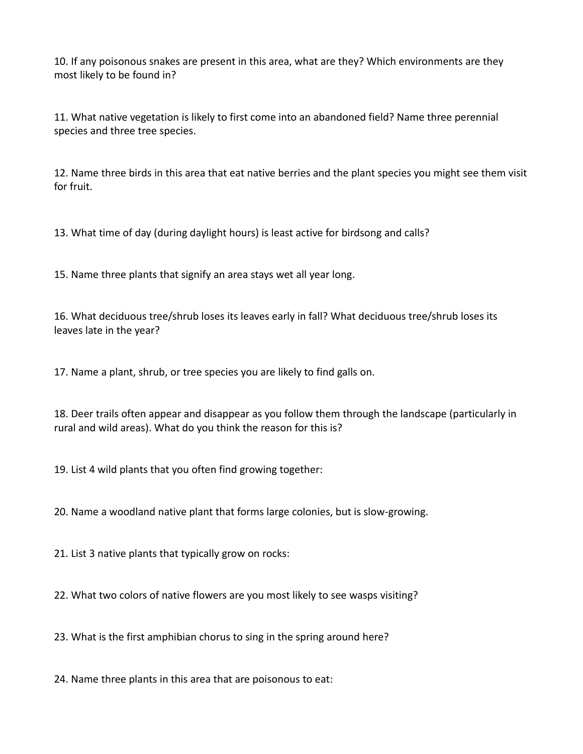10. If any poisonous snakes are present in this area, what are they? Which environments are they most likely to be found in?

11. What native vegetation is likely to first come into an abandoned field? Name three perennial species and three tree species.

12. Name three birds in this area that eat native berries and the plant species you might see them visit for fruit.

13. What time of day (during daylight hours) is least active for birdsong and calls?

15. Name three plants that signify an area stays wet all year long.

16. What deciduous tree/shrub loses its leaves early in fall? What deciduous tree/shrub loses its leaves late in the year?

17. Name a plant, shrub, or tree species you are likely to find galls on.

18. Deer trails often appear and disappear as you follow them through the landscape (particularly in rural and wild areas). What do you think the reason for this is?

19. List 4 wild plants that you often find growing together:

20. Name a woodland native plant that forms large colonies, but is slow-growing.

21. List 3 native plants that typically grow on rocks:

22. What two colors of native flowers are you most likely to see wasps visiting?

23. What is the first amphibian chorus to sing in the spring around here?

24. Name three plants in this area that are poisonous to eat: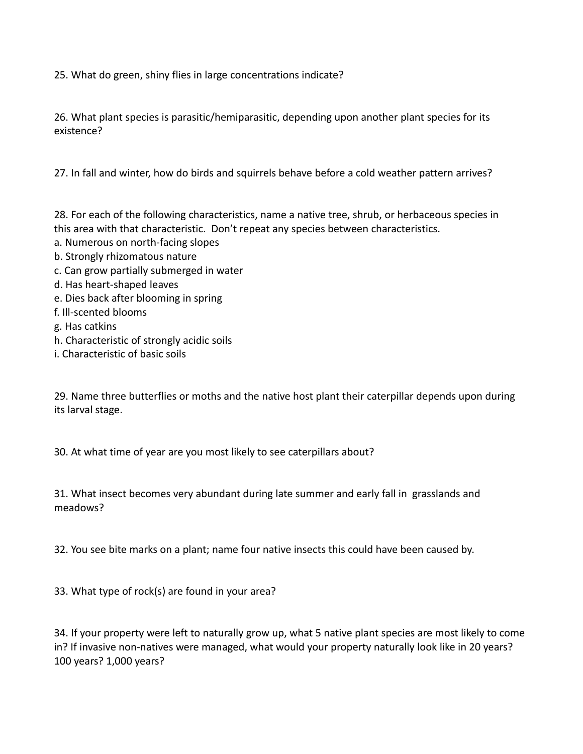25. What do green, shiny flies in large concentrations indicate?

26. What plant species is parasitic/hemiparasitic, depending upon another plant species for its existence?

27. In fall and winter, how do birds and squirrels behave before a cold weather pattern arrives?

28. For each of the following characteristics, name a native tree, shrub, or herbaceous species in this area with that characteristic. Don't repeat any species between characteristics.

- a. Numerous on north-facing slopes
- b. Strongly rhizomatous nature
- c. Can grow partially submerged in water
- d. Has heart-shaped leaves
- e. Dies back after blooming in spring
- f. Ill-scented blooms
- g. Has catkins
- h. Characteristic of strongly acidic soils
- i. Characteristic of basic soils

29. Name three butterflies or moths and the native host plant their caterpillar depends upon during its larval stage.

30. At what time of year are you most likely to see caterpillars about?

31. What insect becomes very abundant during late summer and early fall in grasslands and meadows?

32. You see bite marks on a plant; name four native insects this could have been caused by.

33. What type of rock(s) are found in your area?

34. If your property were left to naturally grow up, what 5 native plant species are most likely to come in? If invasive non-natives were managed, what would your property naturally look like in 20 years? 100 years? 1,000 years?